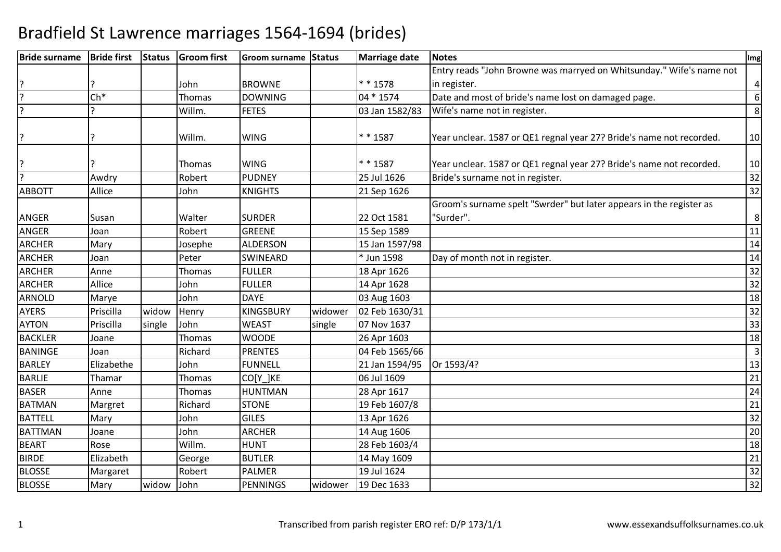| <b>Bride surname</b> | <b>Bride first</b> | <b>Status</b> | <b>Groom first</b> | Groom surname Status |         | <b>Marriage date</b> | <b>Notes</b>                                                                     | Img                     |
|----------------------|--------------------|---------------|--------------------|----------------------|---------|----------------------|----------------------------------------------------------------------------------|-------------------------|
|                      |                    |               |                    |                      |         |                      | Entry reads "John Browne was marryed on Whitsunday." Wife's name not             |                         |
|                      |                    |               | John               | <b>BROWNE</b>        |         | * * 1578             | in register.                                                                     | $\overline{\mathbf{4}}$ |
| $\overline{?}$       | $Ch*$              |               | Thomas             | <b>DOWNING</b>       |         | 04 * 1574            | Date and most of bride's name lost on damaged page.                              | 6                       |
| $\overline{?}$       |                    |               | Willm.             | <b>FETES</b>         |         | 03 Jan 1582/83       | Wife's name not in register.                                                     | 8                       |
| ?                    |                    |               | Willm.             | <b>WING</b>          |         | $* * 1587$           | Year unclear. 1587 or QE1 regnal year 27? Bride's name not recorded.             | 10                      |
| ?                    |                    |               | Thomas             | <b>WING</b>          |         | $* * 1587$           | Year unclear. 1587 or QE1 regnal year 27? Bride's name not recorded.             | 10                      |
| $\overline{?}$       | Awdry              |               | Robert             | <b>PUDNEY</b>        |         | 25 Jul 1626          | Bride's surname not in register.                                                 | 32                      |
| <b>ABBOTT</b>        | Allice             |               | John               | <b>KNIGHTS</b>       |         | 21 Sep 1626          |                                                                                  | 32                      |
| <b>ANGER</b>         | Susan              |               | Walter             | <b>SURDER</b>        |         | 22 Oct 1581          | Groom's surname spelt "Swrder" but later appears in the register as<br>"Surder". | $\,8\,$                 |
| ANGER                | Joan               |               | Robert             | <b>GREENE</b>        |         | 15 Sep 1589          |                                                                                  | 11                      |
| <b>ARCHER</b>        | Mary               |               | Josephe            | <b>ALDERSON</b>      |         | 15 Jan 1597/98       |                                                                                  | 14                      |
| <b>ARCHER</b>        | Joan               |               | Peter              | <b>SWINEARD</b>      |         | * Jun 1598           | Day of month not in register.                                                    | 14                      |
| <b>ARCHER</b>        | Anne               |               | Thomas             | <b>FULLER</b>        |         | 18 Apr 1626          |                                                                                  | $\overline{32}$         |
| <b>ARCHER</b>        | Allice             |               | John               | <b>FULLER</b>        |         | 14 Apr 1628          |                                                                                  | 32                      |
| ARNOLD               | Marye              |               | John               | <b>DAYE</b>          |         | 03 Aug 1603          |                                                                                  | 18                      |
| <b>AYERS</b>         | Priscilla          | widow         | Henry              | <b>KINGSBURY</b>     | widower | 02 Feb 1630/31       |                                                                                  | 32                      |
| <b>AYTON</b>         | Priscilla          | single        | John               | <b>WEAST</b>         | single  | 07 Nov 1637          |                                                                                  | 33                      |
| <b>BACKLER</b>       | Joane              |               | Thomas             | <b>WOODE</b>         |         | 26 Apr 1603          |                                                                                  | 18                      |
| <b>BANINGE</b>       | Joan               |               | Richard            | <b>PRENTES</b>       |         | 04 Feb 1565/66       |                                                                                  | $\overline{3}$          |
| <b>BARLEY</b>        | Elizabethe         |               | John               | <b>FUNNELL</b>       |         | 21 Jan 1594/95       | Or 1593/4?                                                                       | 13                      |
| <b>BARLIE</b>        | Thamar             |               | Thomas             | CO[Y ]KE             |         | 06 Jul 1609          |                                                                                  | 21                      |
| <b>BASER</b>         | Anne               |               | Thomas             | <b>HUNTMAN</b>       |         | 28 Apr 1617          |                                                                                  | 24                      |
| <b>BATMAN</b>        | Margret            |               | Richard            | <b>STONE</b>         |         | 19 Feb 1607/8        |                                                                                  | 21                      |
| <b>BATTELL</b>       | Mary               |               | John               | <b>GILES</b>         |         | 13 Apr 1626          |                                                                                  | 32                      |
| <b>BATTMAN</b>       | Joane              |               | John               | <b>ARCHER</b>        |         | 14 Aug 1606          |                                                                                  | 20                      |
| <b>BEART</b>         | Rose               |               | Willm.             | <b>HUNT</b>          |         | 28 Feb 1603/4        |                                                                                  | 18                      |
| <b>BIRDE</b>         | Elizabeth          |               | George             | <b>BUTLER</b>        |         | 14 May 1609          |                                                                                  | 21                      |
| <b>BLOSSE</b>        | Margaret           |               | Robert             | <b>PALMER</b>        |         | 19 Jul 1624          |                                                                                  | 32                      |
| <b>BLOSSE</b>        | Mary               | widow         | John               | <b>PENNINGS</b>      | widower | 19 Dec 1633          |                                                                                  | 32                      |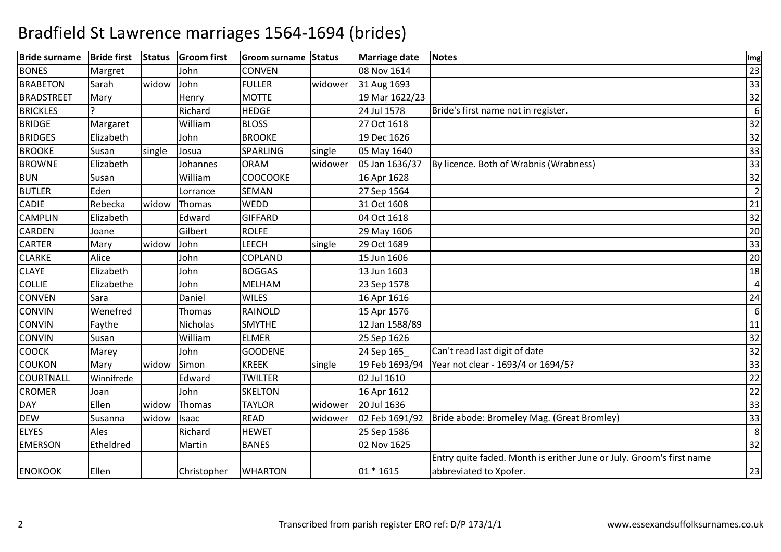| <b>Bride surname</b> | <b>Bride first</b> | <b>Status</b> | <b>Groom</b> first | <b>Groom surname</b> | Status  | Marriage date  | <b>Notes</b>                                                         | Img            |
|----------------------|--------------------|---------------|--------------------|----------------------|---------|----------------|----------------------------------------------------------------------|----------------|
| <b>BONES</b>         | Margret            |               | John               | CONVEN               |         | 08 Nov 1614    |                                                                      | 23             |
| <b>BRABETON</b>      | Sarah              | widow         | John               | <b>FULLER</b>        | widower | 31 Aug 1693    |                                                                      | 33             |
| <b>BRADSTREET</b>    | Mary               |               | Henry              | <b>MOTTE</b>         |         | 19 Mar 1622/23 |                                                                      | 32             |
| <b>BRICKLES</b>      |                    |               | Richard            | <b>HEDGE</b>         |         | 24 Jul 1578    | Bride's first name not in register.                                  | 6              |
| <b>BRIDGE</b>        | Margaret           |               | William            | <b>BLOSS</b>         |         | 27 Oct 1618    |                                                                      | 32             |
| <b>BRIDGES</b>       | Elizabeth          |               | John               | <b>BROOKE</b>        |         | 19 Dec 1626    |                                                                      | 32             |
| <b>BROOKE</b>        | Susan              | single        | Josua              | SPARLING             | single  | 05 May 1640    |                                                                      | 33             |
| <b>BROWNE</b>        | Elizabeth          |               | Johannes           | <b>ORAM</b>          | widower | 05 Jan 1636/37 | By licence. Both of Wrabnis (Wrabness)                               | 33             |
| <b>BUN</b>           | Susan              |               | William            | <b>COOCOOKE</b>      |         | 16 Apr 1628    |                                                                      | 32             |
| <b>BUTLER</b>        | Eden               |               | Lorrance           | <b>SEMAN</b>         |         | 27 Sep 1564    |                                                                      | $\overline{2}$ |
| CADIE                | Rebecka            | widow         | Thomas             | WEDD                 |         | 31 Oct 1608    |                                                                      | 21             |
| <b>CAMPLIN</b>       | Elizabeth          |               | Edward             | <b>GIFFARD</b>       |         | 04 Oct 1618    |                                                                      | 32             |
| <b>CARDEN</b>        | Joane              |               | Gilbert            | <b>ROLFE</b>         |         | 29 May 1606    |                                                                      | 20             |
| <b>CARTER</b>        | Mary               | widow         | John               | <b>LEECH</b>         | single  | 29 Oct 1689    |                                                                      | 33             |
| <b>CLARKE</b>        | Alice              |               | John               | COPLAND              |         | 15 Jun 1606    |                                                                      | 20             |
| <b>CLAYE</b>         | Elizabeth          |               | John               | <b>BOGGAS</b>        |         | 13 Jun 1603    |                                                                      | 18             |
| <b>COLLIE</b>        | Elizabethe         |               | John               | MELHAM               |         | 23 Sep 1578    |                                                                      | $\overline{a}$ |
| <b>CONVEN</b>        | Sara               |               | Daniel             | <b>WILES</b>         |         | 16 Apr 1616    |                                                                      | 24             |
| <b>CONVIN</b>        | Wenefred           |               | Thomas             | RAINOLD              |         | 15 Apr 1576    |                                                                      | 6              |
| <b>CONVIN</b>        | Faythe             |               | Nicholas           | <b>SMYTHE</b>        |         | 12 Jan 1588/89 |                                                                      | 11             |
| <b>CONVIN</b>        | Susan              |               | William            | <b>ELMER</b>         |         | 25 Sep 1626    |                                                                      | 32             |
| <b>COOCK</b>         | Marey              |               | John               | <b>GOODENE</b>       |         | 24 Sep 165     | Can't read last digit of date                                        | 32             |
| <b>COUKON</b>        | Mary               | widow         | Simon              | <b>KREEK</b>         | single  | 19 Feb 1693/94 | Year not clear - 1693/4 or 1694/5?                                   | 33             |
| <b>COURTNALL</b>     | Winnifrede         |               | Edward             | <b>TWILTER</b>       |         | 02 Jul 1610    |                                                                      | 22             |
| <b>CROMER</b>        | Joan               |               | John               | <b>SKELTON</b>       |         | 16 Apr 1612    |                                                                      | 22             |
| <b>DAY</b>           | Ellen              | widow         | Thomas             | <b>TAYLOR</b>        | widower | 20 Jul 1636    |                                                                      | 33             |
| <b>DEW</b>           | Susanna            | widow         | Isaac              | <b>READ</b>          | widower | 02 Feb 1691/92 | Bride abode: Bromeley Mag. (Great Bromley)                           | 33             |
| <b>ELYES</b>         | Ales               |               | Richard            | <b>HEWET</b>         |         | 25 Sep 1586    |                                                                      | 8              |
| <b>EMERSON</b>       | Etheldred          |               | Martin             | <b>BANES</b>         |         | 02 Nov 1625    |                                                                      | 32             |
|                      |                    |               |                    |                      |         |                | Entry quite faded. Month is erither June or July. Groom's first name |                |
| <b>ENOKOOK</b>       | Ellen              |               | Christopher        | <b>WHARTON</b>       |         | 01 * 1615      | abbreviated to Xpofer.                                               | 23             |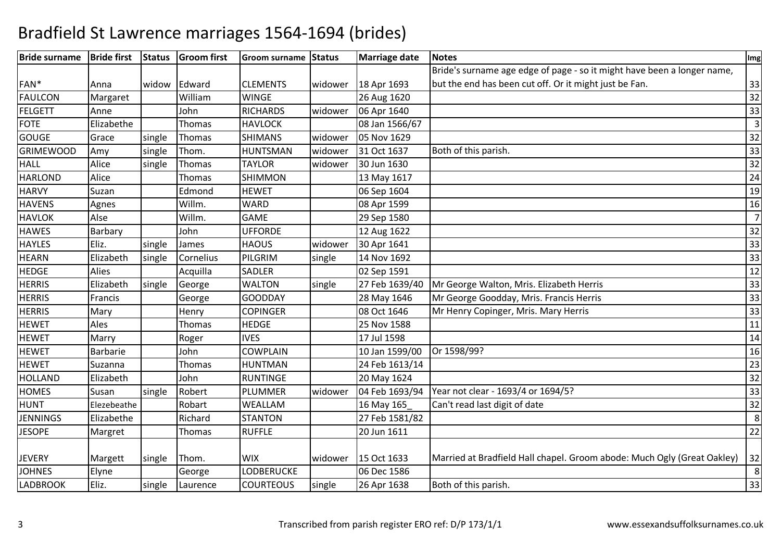| <b>Bride surname</b> | <b>Bride first</b> | <b>Status</b> | <b>Groom</b> first | Groom surname Status |         | Marriage date  | <b>Notes</b>                                                            | Img            |
|----------------------|--------------------|---------------|--------------------|----------------------|---------|----------------|-------------------------------------------------------------------------|----------------|
|                      |                    |               |                    |                      |         |                | Bride's surname age edge of page - so it might have been a longer name, |                |
| FAN*                 | Anna               | widow         | Edward             | <b>CLEMENTS</b>      | widower | 18 Apr 1693    | but the end has been cut off. Or it might just be Fan.                  | 33             |
| <b>FAULCON</b>       | Margaret           |               | William            | <b>WINGE</b>         |         | 26 Aug 1620    |                                                                         | 32             |
| FELGETT              | Anne               |               | John               | <b>RICHARDS</b>      | widower | 06 Apr 1640    |                                                                         | 33             |
| <b>FOTE</b>          | Elizabethe         |               | <b>Thomas</b>      | <b>HAVLOCK</b>       |         | 08 Jan 1566/67 |                                                                         | 3              |
| <b>GOUGE</b>         | Grace              | single        | Thomas             | <b>SHIMANS</b>       | widower | 05 Nov 1629    |                                                                         | 32             |
| <b>GRIMEWOOD</b>     | Amy                | single        | Thom.              | <b>HUNTSMAN</b>      | widower | 31 Oct 1637    | Both of this parish.                                                    | 33             |
| <b>HALL</b>          | Alice              | single        | <b>Thomas</b>      | <b>TAYLOR</b>        | widower | 30 Jun 1630    |                                                                         | 32             |
| <b>HARLOND</b>       | Alice              |               | <b>Thomas</b>      | <b>SHIMMON</b>       |         | 13 May 1617    |                                                                         | 24             |
| <b>HARVY</b>         | Suzan              |               | Edmond             | <b>HEWET</b>         |         | 06 Sep 1604    |                                                                         | 19             |
| <b>HAVENS</b>        | Agnes              |               | Willm.             | <b>WARD</b>          |         | 08 Apr 1599    |                                                                         | 16             |
| <b>HAVLOK</b>        | Alse               |               | Willm.             | <b>GAME</b>          |         | 29 Sep 1580    |                                                                         | $\overline{7}$ |
| <b>HAWES</b>         | Barbary            |               | John               | <b>UFFORDE</b>       |         | 12 Aug 1622    |                                                                         | 32             |
| <b>HAYLES</b>        | Eliz.              | single        | James              | <b>HAOUS</b>         | widower | 30 Apr 1641    |                                                                         | 33             |
| <b>HEARN</b>         | Elizabeth          | single        | Cornelius          | PILGRIM              | single  | 14 Nov 1692    |                                                                         | 33             |
| <b>HEDGE</b>         | <b>Alies</b>       |               | Acquilla           | SADLER               |         | 02 Sep 1591    |                                                                         | 12             |
| <b>HERRIS</b>        | Elizabeth          | single        | George             | <b>WALTON</b>        | single  | 27 Feb 1639/40 | Mr George Walton, Mris. Elizabeth Herris                                | 33             |
| <b>HERRIS</b>        | Francis            |               | George             | <b>GOODDAY</b>       |         | 28 May 1646    | Mr George Goodday, Mris. Francis Herris                                 | 33             |
| <b>HERRIS</b>        | Mary               |               | Henry              | <b>COPINGER</b>      |         | 08 Oct 1646    | Mr Henry Copinger, Mris. Mary Herris                                    | 33             |
| <b>HEWET</b>         | Ales               |               | Thomas             | <b>HEDGE</b>         |         | 25 Nov 1588    |                                                                         | 11             |
| <b>HEWET</b>         | Marry              |               | Roger              | <b>IVES</b>          |         | 17 Jul 1598    |                                                                         | 14             |
| <b>HEWET</b>         | Barbarie           |               | John               | <b>COWPLAIN</b>      |         | 10 Jan 1599/00 | Or 1598/99?                                                             | 16             |
| <b>HEWET</b>         | Suzanna            |               | <b>Thomas</b>      | <b>HUNTMAN</b>       |         | 24 Feb 1613/14 |                                                                         | 23             |
| <b>HOLLAND</b>       | Elizabeth          |               | John               | <b>RUNTINGE</b>      |         | 20 May 1624    |                                                                         | 32             |
| <b>HOMES</b>         | Susan              | single        | Robert             | <b>PLUMMER</b>       | widower | 04 Feb 1693/94 | Year not clear - 1693/4 or 1694/5?                                      | 33             |
| <b>HUNT</b>          | Elezebeathe        |               | Robart             | WEALLAM              |         | 16 May 165     | Can't read last digit of date                                           | 32             |
| <b>JENNINGS</b>      | Elizabethe         |               | Richard            | <b>STANTON</b>       |         | 27 Feb 1581/82 |                                                                         | 8              |
| <b>JESOPE</b>        | Margret            |               | Thomas             | <b>RUFFLE</b>        |         | 20 Jun 1611    |                                                                         | 22             |
|                      |                    |               |                    |                      |         |                |                                                                         |                |
| <b>JEVERY</b>        | Margett            | single        | Thom.              | <b>WIX</b>           | widower | 15 Oct 1633    | Married at Bradfield Hall chapel. Groom abode: Much Ogly (Great Oakley) | 32             |
| <b>JOHNES</b>        | Elyne              |               | George             | <b>LODBERUCKE</b>    |         | 06 Dec 1586    |                                                                         | 8              |
| <b>LADBROOK</b>      | Eliz.              | single        | Laurence           | <b>COURTEOUS</b>     | single  | 26 Apr 1638    | Both of this parish.                                                    | 33             |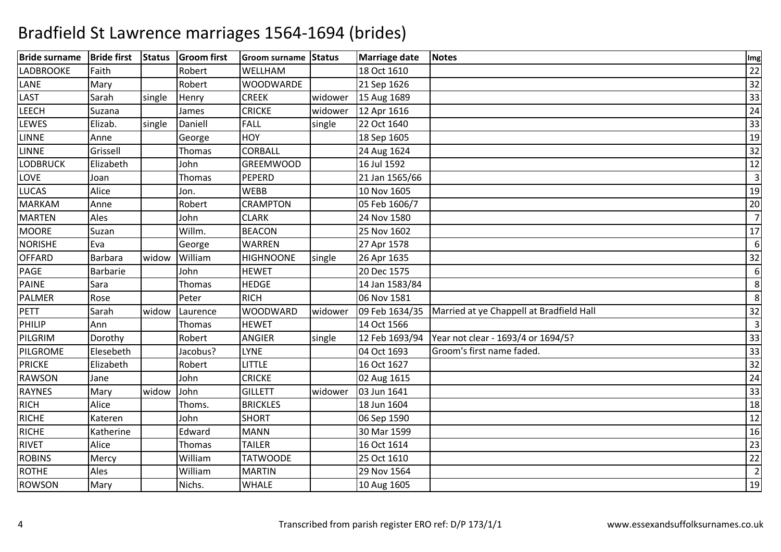| <b>Bride surname</b> | <b>Bride first</b> | <b>Status</b> | <b>Groom</b> first | Groom surname Status |         | Marriage date  | Notes                                    | Img            |
|----------------------|--------------------|---------------|--------------------|----------------------|---------|----------------|------------------------------------------|----------------|
| <b>LADBROOKE</b>     | Faith              |               | Robert             | WELLHAM              |         | 18 Oct 1610    |                                          | 22             |
| LANE                 | Mary               |               | Robert             | <b>WOODWARDE</b>     |         | 21 Sep 1626    |                                          | 32             |
| LAST                 | Sarah              | single        | Henry              | <b>CREEK</b>         | widower | 15 Aug 1689    |                                          | 33             |
| <b>LEECH</b>         | Suzana             |               | James              | <b>CRICKE</b>        | widower | 12 Apr 1616    |                                          | 24             |
| LEWES                | Elizab.            | single        | Daniell            | FALL                 | single  | 22 Oct 1640    |                                          | 33             |
| <b>LINNE</b>         | Anne               |               | George             | HOY                  |         | 18 Sep 1605    |                                          | 19             |
| <b>LINNE</b>         | Grissell           |               | Thomas             | CORBALL              |         | 24 Aug 1624    |                                          | 32             |
| <b>LODBRUCK</b>      | Elizabeth          |               | John               | <b>GREEMWOOD</b>     |         | 16 Jul 1592    |                                          | 12             |
| LOVE                 | Joan               |               | Thomas             | PEPERD               |         | 21 Jan 1565/66 |                                          | $\overline{3}$ |
| <b>LUCAS</b>         | Alice              |               | Jon.               | <b>WEBB</b>          |         | 10 Nov 1605    |                                          | 19             |
| <b>MARKAM</b>        | Anne               |               | Robert             | <b>CRAMPTON</b>      |         | 05 Feb 1606/7  |                                          | 20             |
| <b>MARTEN</b>        | Ales               |               | John               | <b>CLARK</b>         |         | 24 Nov 1580    |                                          | $\overline{7}$ |
| <b>MOORE</b>         | Suzan              |               | Willm.             | <b>BEACON</b>        |         | 25 Nov 1602    |                                          | 17             |
| <b>NORISHE</b>       | Eva                |               | George             | <b>WARREN</b>        |         | 27 Apr 1578    |                                          | 6              |
| <b>OFFARD</b>        | <b>Barbara</b>     | widow         | William            | <b>HIGHNOONE</b>     | single  | 26 Apr 1635    |                                          | 32             |
| PAGE                 | Barbarie           |               | John               | <b>HEWET</b>         |         | 20 Dec 1575    |                                          | 6              |
| <b>PAINE</b>         | Sara               |               | Thomas             | <b>HEDGE</b>         |         | 14 Jan 1583/84 |                                          | 8              |
| <b>PALMER</b>        | Rose               |               | Peter              | <b>RICH</b>          |         | 06 Nov 1581    |                                          | 8              |
| <b>PETT</b>          | Sarah              | widow         | Laurence           | <b>WOODWARD</b>      | widower | 09 Feb 1634/35 | Married at ye Chappell at Bradfield Hall | 32             |
| <b>PHILIP</b>        | Ann                |               | Thomas             | <b>HEWET</b>         |         | 14 Oct 1566    |                                          | $\overline{3}$ |
| PILGRIM              | Dorothy            |               | Robert             | <b>ANGIER</b>        | single  | 12 Feb 1693/94 | Year not clear - 1693/4 or 1694/5?       | 33             |
| PILGROME             | Elesebeth          |               | Jacobus?           | <b>LYNE</b>          |         | 04 Oct 1693    | Groom's first name faded.                | 33             |
| <b>PRICKE</b>        | Elizabeth          |               | Robert             | <b>LITTLE</b>        |         | 16 Oct 1627    |                                          | 32             |
| <b>RAWSON</b>        | Jane               |               | John               | <b>CRICKE</b>        |         | 02 Aug 1615    |                                          | 24             |
| <b>RAYNES</b>        | Mary               | widow         | John               | <b>GILLETT</b>       | widower | 03 Jun 1641    |                                          | 33             |
| <b>RICH</b>          | Alice              |               | Thoms.             | <b>BRICKLES</b>      |         | 18 Jun 1604    |                                          | 18             |
| <b>RICHE</b>         | Kateren            |               | John               | <b>SHORT</b>         |         | 06 Sep 1590    |                                          | 12             |
| <b>RICHE</b>         | Katherine          |               | Edward             | <b>MANN</b>          |         | 30 Mar 1599    |                                          | 16             |
| <b>RIVET</b>         | Alice              |               | Thomas             | <b>TAILER</b>        |         | 16 Oct 1614    |                                          | 23             |
| <b>ROBINS</b>        | Mercy              |               | William            | <b>TATWOODE</b>      |         | 25 Oct 1610    |                                          | 22             |
| <b>ROTHE</b>         | Ales               |               | William            | <b>MARTIN</b>        |         | 29 Nov 1564    |                                          | $\overline{2}$ |
| <b>ROWSON</b>        | Mary               |               | Nichs.             | <b>WHALE</b>         |         | 10 Aug 1605    |                                          | 19             |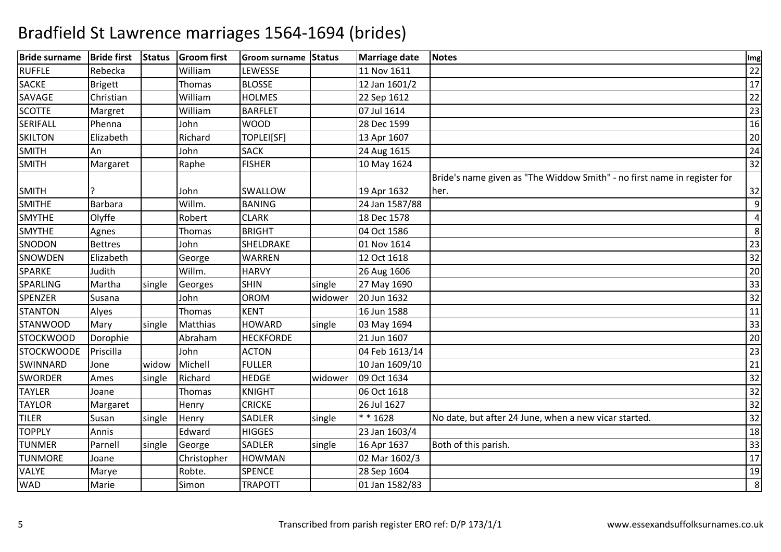| <b>Bride surname</b> | <b>Bride first</b> | <b>Status</b> | <b>Groom</b> first | Groom surname Status |         | Marriage date  | Notes                                                                    | Img |
|----------------------|--------------------|---------------|--------------------|----------------------|---------|----------------|--------------------------------------------------------------------------|-----|
| <b>RUFFLE</b>        | Rebecka            |               | William            | LEWESSE              |         | 11 Nov 1611    |                                                                          | 22  |
| <b>SACKE</b>         | <b>Brigett</b>     |               | Thomas             | <b>BLOSSE</b>        |         | 12 Jan 1601/2  |                                                                          | 17  |
| SAVAGE               | Christian          |               | William            | <b>HOLMES</b>        |         | 22 Sep 1612    |                                                                          | 22  |
| <b>SCOTTE</b>        | Margret            |               | William            | <b>BARFLET</b>       |         | 07 Jul 1614    |                                                                          | 23  |
| <b>SERIFALL</b>      | Phenna             |               | John               | <b>WOOD</b>          |         | 28 Dec 1599    |                                                                          | 16  |
| <b>SKILTON</b>       | Elizabeth          |               | Richard            | TOPLEI[SF]           |         | 13 Apr 1607    |                                                                          | 20  |
| <b>SMITH</b>         | An                 |               | John               | <b>SACK</b>          |         | 24 Aug 1615    |                                                                          | 24  |
| <b>SMITH</b>         | Margaret           |               | Raphe              | <b>FISHER</b>        |         | 10 May 1624    |                                                                          | 32  |
|                      |                    |               |                    |                      |         |                | Bride's name given as "The Widdow Smith" - no first name in register for |     |
| <b>SMITH</b>         |                    |               | John               | SWALLOW              |         | 19 Apr 1632    | her.                                                                     | 32  |
| <b>SMITHE</b>        | <b>Barbara</b>     |               | Willm.             | <b>BANING</b>        |         | 24 Jan 1587/88 |                                                                          | 9   |
| <b>SMYTHE</b>        | Olyffe             |               | Robert             | <b>CLARK</b>         |         | 18 Dec 1578    |                                                                          | 4   |
| <b>SMYTHE</b>        | Agnes              |               | Thomas             | <b>BRIGHT</b>        |         | 04 Oct 1586    |                                                                          | 8   |
| SNODON               | <b>Bettres</b>     |               | John               | SHELDRAKE            |         | 01 Nov 1614    |                                                                          | 23  |
| SNOWDEN              | Elizabeth          |               | George             | <b>WARREN</b>        |         | 12 Oct 1618    |                                                                          | 32  |
| SPARKE               | Judith             |               | Willm.             | <b>HARVY</b>         |         | 26 Aug 1606    |                                                                          | 20  |
| SPARLING             | Martha             | single        | Georges            | <b>SHIN</b>          | single  | 27 May 1690    |                                                                          | 33  |
| <b>SPENZER</b>       | Susana             |               | John               | <b>OROM</b>          | widower | 20 Jun 1632    |                                                                          | 32  |
| <b>STANTON</b>       | Alyes              |               | Thomas             | <b>KENT</b>          |         | 16 Jun 1588    |                                                                          | 11  |
| <b>STANWOOD</b>      | Mary               | single        | <b>Matthias</b>    | <b>HOWARD</b>        | single  | 03 May 1694    |                                                                          | 33  |
| <b>STOCKWOOD</b>     | Dorophie           |               | Abraham            | <b>HECKFORDE</b>     |         | 21 Jun 1607    |                                                                          | 20  |
| <b>STOCKWOODE</b>    | Priscilla          |               | John               | <b>ACTON</b>         |         | 04 Feb 1613/14 |                                                                          | 23  |
| SWINNARD             | Jone               | widow         | Michell            | <b>FULLER</b>        |         | 10 Jan 1609/10 |                                                                          | 21  |
| <b>SWORDER</b>       | Ames               | single        | Richard            | <b>HEDGE</b>         | widower | 09 Oct 1634    |                                                                          | 32  |
| <b>TAYLER</b>        | Joane              |               | Thomas             | <b>KNIGHT</b>        |         | 06 Oct 1618    |                                                                          | 32  |
| <b>TAYLOR</b>        | Margaret           |               | Henry              | <b>CRICKE</b>        |         | 26 Jul 1627    |                                                                          | 32  |
| <b>TILER</b>         | Susan              | single        | Henry              | SADLER               | single  | * * 1628       | No date, but after 24 June, when a new vicar started.                    | 32  |
| <b>TOPPLY</b>        | Annis              |               | Edward             | <b>HIGGES</b>        |         | 23 Jan 1603/4  |                                                                          | 18  |
| <b>TUNMER</b>        | Parnell            | single        | George             | SADLER               | single  | 16 Apr 1637    | Both of this parish.                                                     | 33  |
| <b>TUNMORE</b>       | Joane              |               | Christopher        | <b>HOWMAN</b>        |         | 02 Mar 1602/3  |                                                                          | 17  |
| <b>VALYE</b>         | Marye              |               | Robte.             | <b>SPENCE</b>        |         | 28 Sep 1604    |                                                                          | 19  |
| WAD                  | Marie              |               | Simon              | <b>TRAPOTT</b>       |         | 01 Jan 1582/83 |                                                                          | 8   |